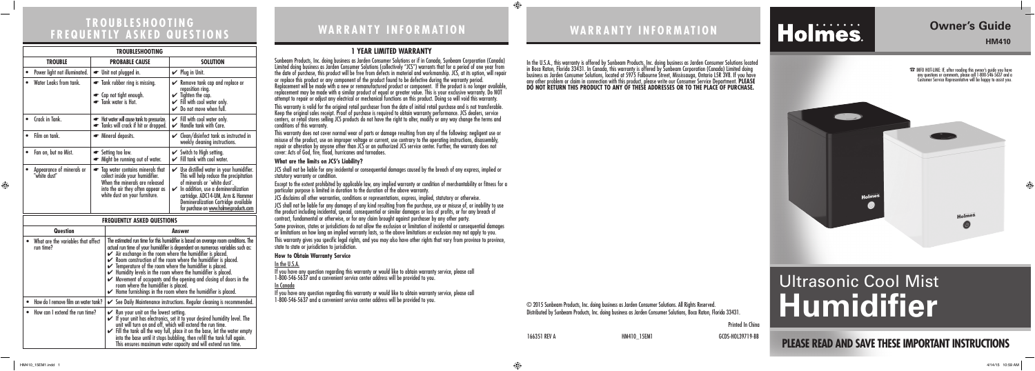# **PLEASE READ AND SAVE THESE IMPORTANT INSTRUCTIONS**

# **Owner's Guide**

**HM410**

 $\bigoplus$ 

# **WARRANTY INFORMATION**

# Holmes.

Printed In China

166351 REV A **HM410\_15EM1** HM410\_15EM1 GCDS-HOL39719-BB

# Ultrasonic Cool Mist **Humidifier**

### **1 YEAR LIMITED WARRANTY**

Sunbeam Products, Inc. doing business as Jarden Consumer Solutions or if in Canada, Sunbeam Corporation (Canada) Limited doing business as Jarden Consumer Solutions (collectively "JCS") warrants that for a period of one year from the date of purchase, this product will be free from defects in material and workmanship. JCS, at its option, will repair or replace this product or any component of the product found to be defective during the warranty period. Replacement will be made with a new or remanufactured product or component. If the product is no longer available, replacement may be made with a similar product of equal or greater value. This is your exclusive warranty. Do NOT attempt to repair or adjust any electrical or mechanical functions on this product. Doing so will void this warranty. This warranty is valid for the original retail purchaser from the date of initial retail purchase and is not transferable. Keep the original sales receipt. Proof of purchase is required to obtain warranty performance. JCS dealers, service centers, or retail stores selling JCS products do not have the right to alter, modify or any way change the terms and conditions of this warranty.

This warranty does not cover normal wear of parts or damage resulting from any of the following: negligent use or misuse of the product, use on improper voltage or current, use contrary to the operating instructions, disassembly, repair or alteration by anyone other than JCS or an authorized JCS service center. Further, the warranty does not cover: Acts of God, fire, flood, hurricanes and tornadoes.

### **What are the limits on JCS's Liability?**

JCS shall not be liable for any incidental or consequential damages caused by the breach of any express, implied or statutory warranty or condition.

Except to the extent prohibited by applicable law, any implied warranty or condition of merchantability or fitness for a particular purpose is limited in duration to the duration of the above warranty.

JCS disclaims all other warranties, conditions or representations, express, implied, statutory or otherwise.

JCS shall not be liable for any damages of any kind resulting from the purchase, use or misuse of, or inability to use the product including incidental, special, consequential or similar damages or loss of profits, or for any breach of contract, fundamental or otherwise, or for any claim brought against purchaser by any other party.

Some provinces, states or jurisdictions do not allow the exclusion or limitation of incidental or consequential damages or limitations on how long an implied warranty lasts, so the above limitations or exclusion may not apply to you.

This warranty gives you specific legal rights, and you may also have other rights that vary from province to province, state to state or jurisdiction to jurisdiction.

### **How to Obtain Warranty Service**

In the U.S.A.

If you have any question regarding this warranty or would like to obtain warranty service, please call 1-800-546-5637 and a convenient service center address will be provided to you.

### In Canada

If you have any question regarding this warranty or would like to obtain warranty service, please call 1-800-546-5637 and a convenient service center address will be provided to you.

In the U.S.A., this warranty is offered by Sunbeam Products, Inc. doing business as Jarden Consumer Solutions located in Boca Raton, Florida 33431. In Canada, this warranty is offered by Sunbeam Corporation (Canada) Limited doing business as Jarden Consumer Solutions, located at 5975 Falbourne Street, Mississauga, Ontario L5R 3V8. If you have any other problem or claim in connection with this product, please write our Consumer Service Department. **PLEASE DO NOT RETURN THIS PRODUCT TO ANY OF THESE ADDRESSES OR TO THE PLACE OF PURCHASE.** 

© 2015 Sunbeam Products, Inc. doing business as Jarden Consumer Solutions. All Rights Reserved. Distributed by Sunbeam Products, Inc. doing business as Jarden Consumer Solutions, Boca Raton, Florida 33431.

 $\overline{\phantom{a}}$ 

 $\textcolor{black}{\textcircled{\footnotesize{1}}}$ 

☎ INFO HOT-LINE: If, after reading this owner's guide you have any questions or comments, please call 1-800-546-5637 and a Customer Service Representative will be happy to assist you.



# **TROUBLESHOOTING FREQUENTLY ASKED QUESTIONS**

| <b>TROUBLESHOOTING</b>                          |                                                                                                                                                                                          |                                                                                                                                                                                                                                                                                                                                                                                                                                                                                                                                                                           |                      |                                                                                                                                                                                                                                                                                                                   |
|-------------------------------------------------|------------------------------------------------------------------------------------------------------------------------------------------------------------------------------------------|---------------------------------------------------------------------------------------------------------------------------------------------------------------------------------------------------------------------------------------------------------------------------------------------------------------------------------------------------------------------------------------------------------------------------------------------------------------------------------------------------------------------------------------------------------------------------|----------------------|-------------------------------------------------------------------------------------------------------------------------------------------------------------------------------------------------------------------------------------------------------------------------------------------------------------------|
| <b>TROUBLE</b>                                  | <b>PROBABLE CAUSE</b>                                                                                                                                                                    |                                                                                                                                                                                                                                                                                                                                                                                                                                                                                                                                                                           | <b>SOLUTION</b>      |                                                                                                                                                                                                                                                                                                                   |
| Power light not illuminated.                    | • Unit not plugged in.                                                                                                                                                                   |                                                                                                                                                                                                                                                                                                                                                                                                                                                                                                                                                                           | $\vee$ Plug in Unit. |                                                                                                                                                                                                                                                                                                                   |
| Water Leaks from tank.                          | Tank rubber ring is missing.<br>• Cap not tight enough.<br>Tank water is Hot.                                                                                                            |                                                                                                                                                                                                                                                                                                                                                                                                                                                                                                                                                                           |                      | $\mathcal V$ Remove tank cap and replace or<br>reposition ring.<br>$\checkmark$ Tighten the cap.<br>$\checkmark$ Fill with cool water only.<br>$\triangleright$ Do not move when full.                                                                                                                            |
| Crack in Tank.                                  | Hot water will cause tank to pressurize.<br>Tanks will crack if hit or dropped.                                                                                                          |                                                                                                                                                                                                                                                                                                                                                                                                                                                                                                                                                                           |                      | $\checkmark$ Fill with cool water only.<br>$\mathcal V$ Handle tank with Care.                                                                                                                                                                                                                                    |
| Film on tank.                                   | • Mineral deposits.                                                                                                                                                                      |                                                                                                                                                                                                                                                                                                                                                                                                                                                                                                                                                                           |                      | $\mathcal V$ Clean/disinfect tank as instructed in<br>weekly cleaning instructions.                                                                                                                                                                                                                               |
| Fan on, but no Mist.                            | Setting too low.<br>• Might be running out of water.                                                                                                                                     |                                                                                                                                                                                                                                                                                                                                                                                                                                                                                                                                                                           |                      | Switch to High setting.<br>$\checkmark$ Fill tank with cool water.                                                                                                                                                                                                                                                |
| Appearance of minerals or<br>"white dust"       | Tap water contains minerals that<br>$\bullet$<br>collect inside your humidifier.<br>When the minerals are released<br>into the air they often appear as<br>white dust on your furniture. |                                                                                                                                                                                                                                                                                                                                                                                                                                                                                                                                                                           |                      | $\mathcal V$ Use distilled water in your humidifier.<br>This will help reduce the precipitation<br>of minerals or `white dust'.<br>$\mathcal V$ In addition, use a demineralization<br>cartridge. ADC14-UM, Arm & Hammer<br><b>Demineralization Cartridge available</b><br>for purchase on www.holmesproducts.com |
| <b>FREQUENTLY ASKED QUESTIONS</b>               |                                                                                                                                                                                          |                                                                                                                                                                                                                                                                                                                                                                                                                                                                                                                                                                           |                      |                                                                                                                                                                                                                                                                                                                   |
| Question                                        |                                                                                                                                                                                          | Answer                                                                                                                                                                                                                                                                                                                                                                                                                                                                                                                                                                    |                      |                                                                                                                                                                                                                                                                                                                   |
| What are the variables that affect<br>run time? |                                                                                                                                                                                          | The estimated run time for this humidifier is based on average room conditions. The<br>actual run time of your humidifier is dependent on numerous variables such as:<br>$\blacktriangleright$ Air exchange in the room where the humidifier is placed.<br>$\mathcal V$ Room construction of the room where the humidifier is placed.<br>$\checkmark$ Temperature of the room where the humidifier is placed.<br>$\blacktriangleright$ Humidity levels in the room where the humidifier is placed.<br>A Movement of occupants and the opening and slocing of doors in the |                      |                                                                                                                                                                                                                                                                                                                   |